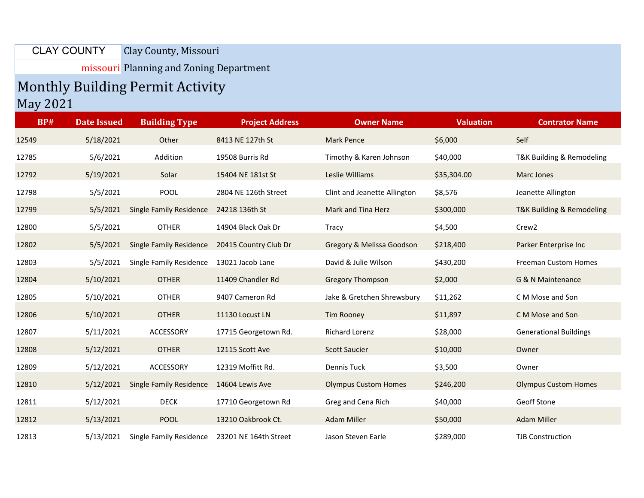Clay County, Missouri CLAY COUNTY

missouri Planning and Zoning Department

## Monthly Building Permit Activity May 2021

| <b>BP#</b> | <b>Date Issued</b> | <b>Building Type</b>           | <b>Project Address</b> | <b>Owner Name</b>            | <b>Valuation</b> | <b>Contrator Name</b>         |
|------------|--------------------|--------------------------------|------------------------|------------------------------|------------------|-------------------------------|
| 12549      | 5/18/2021          | Other                          | 8413 NE 127th St       | <b>Mark Pence</b>            | \$6,000          | Self                          |
| 12785      | 5/6/2021           | Addition                       | 19508 Burris Rd        | Timothy & Karen Johnson      | \$40,000         | T&K Building & Remodeling     |
| 12792      | 5/19/2021          | Solar                          | 15404 NE 181st St      | Leslie Williams              | \$35,304.00      | Marc Jones                    |
| 12798      | 5/5/2021           | <b>POOL</b>                    | 2804 NE 126th Street   | Clint and Jeanette Allington | \$8,576          | Jeanette Allington            |
| 12799      | 5/5/2021           | <b>Single Family Residence</b> | 24218 136th St         | Mark and Tina Herz           | \$300,000        | T&K Building & Remodeling     |
| 12800      | 5/5/2021           | <b>OTHER</b>                   | 14904 Black Oak Dr     | <b>Tracy</b>                 | \$4,500          | Crew <sub>2</sub>             |
| 12802      | 5/5/2021           | <b>Single Family Residence</b> | 20415 Country Club Dr  | Gregory & Melissa Goodson    | \$218,400        | Parker Enterprise Inc         |
| 12803      | 5/5/2021           | <b>Single Family Residence</b> | 13021 Jacob Lane       | David & Julie Wilson         | \$430,200        | <b>Freeman Custom Homes</b>   |
| 12804      | 5/10/2021          | <b>OTHER</b>                   | 11409 Chandler Rd      | <b>Gregory Thompson</b>      | \$2,000          | G & N Maintenance             |
| 12805      | 5/10/2021          | <b>OTHER</b>                   | 9407 Cameron Rd        | Jake & Gretchen Shrewsbury   | \$11,262         | C M Mose and Son              |
| 12806      | 5/10/2021          | <b>OTHER</b>                   | 11130 Locust LN        | <b>Tim Rooney</b>            | \$11,897         | C M Mose and Son              |
| 12807      | 5/11/2021          | ACCESSORY                      | 17715 Georgetown Rd.   | Richard Lorenz               | \$28,000         | <b>Generational Buildings</b> |
| 12808      | 5/12/2021          | <b>OTHER</b>                   | 12115 Scott Ave        | <b>Scott Saucier</b>         | \$10,000         | Owner                         |
| 12809      | 5/12/2021          | ACCESSORY                      | 12319 Moffitt Rd.      | <b>Dennis Tuck</b>           | \$3,500          | Owner                         |
| 12810      | 5/12/2021          | <b>Single Family Residence</b> | 14604 Lewis Ave        | <b>Olympus Custom Homes</b>  | \$246,200        | <b>Olympus Custom Homes</b>   |
| 12811      | 5/12/2021          | <b>DECK</b>                    | 17710 Georgetown Rd    | Greg and Cena Rich           | \$40,000         | Geoff Stone                   |
| 12812      | 5/13/2021          | <b>POOL</b>                    | 13210 Oakbrook Ct.     | <b>Adam Miller</b>           | \$50,000         | <b>Adam Miller</b>            |
| 12813      | 5/13/2021          | Single Family Residence        | 23201 NE 164th Street  | Jason Steven Earle           | \$289,000        | <b>TJB Construction</b>       |